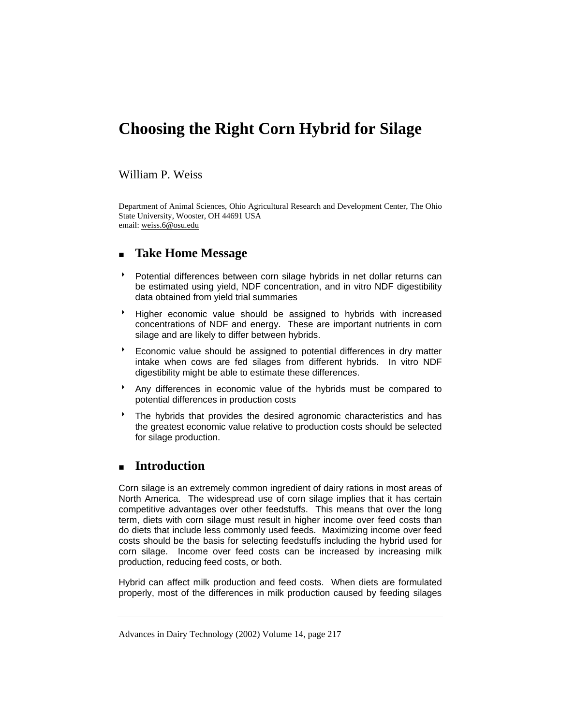# **Choosing the Right Corn Hybrid for Silage**

## William P. Weiss

Department of Animal Sciences, Ohio Agricultural Research and Development Center, The Ohio State University, Wooster, OH 44691 USA email: weiss.6@osu.edu

# **Take Home Message**

- Potential differences between corn silage hybrids in net dollar returns can be estimated using yield, NDF concentration, and in vitro NDF digestibility data obtained from yield trial summaries
- 8 Higher economic value should be assigned to hybrids with increased concentrations of NDF and energy. These are important nutrients in corn silage and are likely to differ between hybrids.
- Economic value should be assigned to potential differences in dry matter intake when cows are fed silages from different hybrids. In vitro NDF digestibility might be able to estimate these differences.
- \* Any differences in economic value of the hybrids must be compared to potential differences in production costs
- The hybrids that provides the desired agronomic characteristics and has the greatest economic value relative to production costs should be selected for silage production.

# **Introduction**

Corn silage is an extremely common ingredient of dairy rations in most areas of North America. The widespread use of corn silage implies that it has certain competitive advantages over other feedstuffs. This means that over the long term, diets with corn silage must result in higher income over feed costs than do diets that include less commonly used feeds. Maximizing income over feed costs should be the basis for selecting feedstuffs including the hybrid used for corn silage. Income over feed costs can be increased by increasing milk production, reducing feed costs, or both.

Hybrid can affect milk production and feed costs. When diets are formulated properly, most of the differences in milk production caused by feeding silages

Advances in Dairy Technology (2002) Volume 14, page 217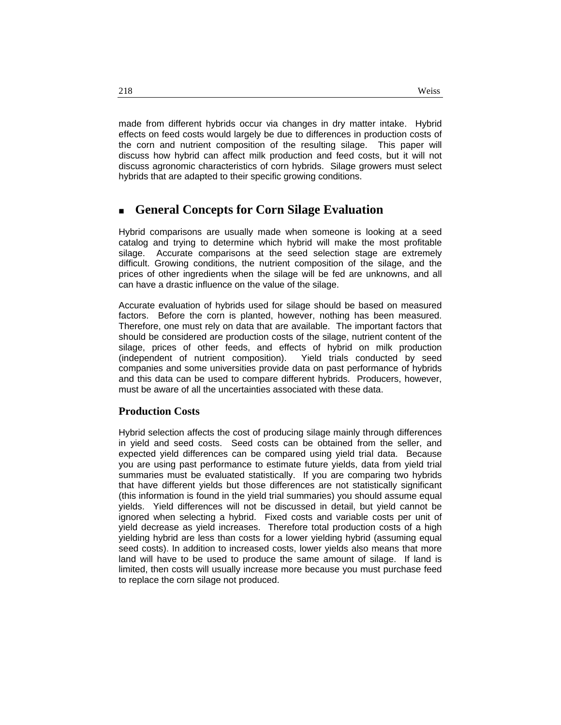made from different hybrids occur via changes in dry matter intake. Hybrid effects on feed costs would largely be due to differences in production costs of the corn and nutrient composition of the resulting silage. This paper will discuss how hybrid can affect milk production and feed costs, but it will not discuss agronomic characteristics of corn hybrids. Silage growers must select hybrids that are adapted to their specific growing conditions.

# **General Concepts for Corn Silage Evaluation**

Hybrid comparisons are usually made when someone is looking at a seed catalog and trying to determine which hybrid will make the most profitable silage. Accurate comparisons at the seed selection stage are extremely difficult. Growing conditions, the nutrient composition of the silage, and the prices of other ingredients when the silage will be fed are unknowns, and all can have a drastic influence on the value of the silage.

Accurate evaluation of hybrids used for silage should be based on measured factors. Before the corn is planted, however, nothing has been measured. Therefore, one must rely on data that are available. The important factors that should be considered are production costs of the silage, nutrient content of the silage, prices of other feeds, and effects of hybrid on milk production (independent of nutrient composition). Yield trials conducted by seed companies and some universities provide data on past performance of hybrids and this data can be used to compare different hybrids. Producers, however, must be aware of all the uncertainties associated with these data.

### **Production Costs**

Hybrid selection affects the cost of producing silage mainly through differences in yield and seed costs. Seed costs can be obtained from the seller, and expected yield differences can be compared using yield trial data. Because you are using past performance to estimate future yields, data from yield trial summaries must be evaluated statistically. If you are comparing two hybrids that have different yields but those differences are not statistically significant (this information is found in the yield trial summaries) you should assume equal yields. Yield differences will not be discussed in detail, but yield cannot be ignored when selecting a hybrid. Fixed costs and variable costs per unit of yield decrease as yield increases. Therefore total production costs of a high yielding hybrid are less than costs for a lower yielding hybrid (assuming equal seed costs). In addition to increased costs, lower yields also means that more land will have to be used to produce the same amount of silage. If land is limited, then costs will usually increase more because you must purchase feed to replace the corn silage not produced.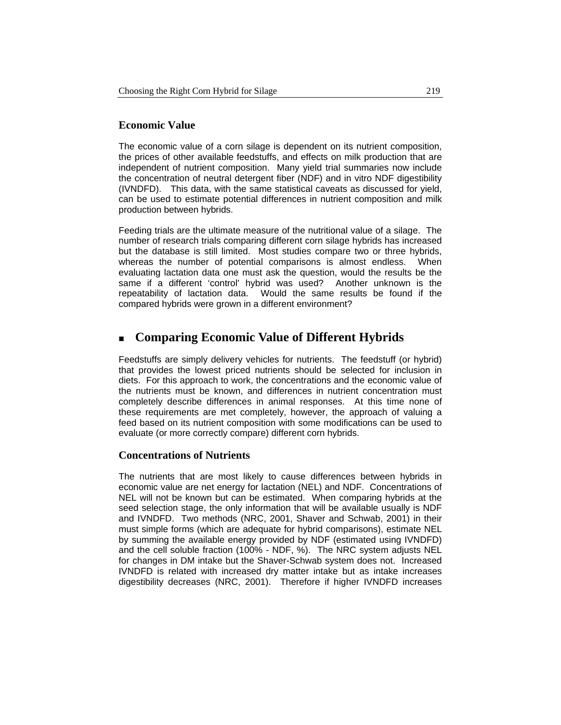### **Economic Value**

The economic value of a corn silage is dependent on its nutrient composition, the prices of other available feedstuffs, and effects on milk production that are independent of nutrient composition. Many yield trial summaries now include the concentration of neutral detergent fiber (NDF) and in vitro NDF digestibility (IVNDFD). This data, with the same statistical caveats as discussed for yield, can be used to estimate potential differences in nutrient composition and milk production between hybrids.

Feeding trials are the ultimate measure of the nutritional value of a silage. The number of research trials comparing different corn silage hybrids has increased but the database is still limited. Most studies compare two or three hybrids, whereas the number of potential comparisons is almost endless. When evaluating lactation data one must ask the question, would the results be the same if a different 'control' hybrid was used? Another unknown is the repeatability of lactation data. Would the same results be found if the compared hybrids were grown in a different environment?

# **Comparing Economic Value of Different Hybrids**

Feedstuffs are simply delivery vehicles for nutrients. The feedstuff (or hybrid) that provides the lowest priced nutrients should be selected for inclusion in diets. For this approach to work, the concentrations and the economic value of the nutrients must be known, and differences in nutrient concentration must completely describe differences in animal responses. At this time none of these requirements are met completely, however, the approach of valuing a feed based on its nutrient composition with some modifications can be used to evaluate (or more correctly compare) different corn hybrids.

### **Concentrations of Nutrients**

The nutrients that are most likely to cause differences between hybrids in economic value are net energy for lactation (NEL) and NDF. Concentrations of NEL will not be known but can be estimated. When comparing hybrids at the seed selection stage, the only information that will be available usually is NDF and IVNDFD. Two methods (NRC, 2001, Shaver and Schwab, 2001) in their must simple forms (which are adequate for hybrid comparisons), estimate NEL by summing the available energy provided by NDF (estimated using IVNDFD) and the cell soluble fraction (100% - NDF, %). The NRC system adjusts NEL for changes in DM intake but the Shaver-Schwab system does not. Increased IVNDFD is related with increased dry matter intake but as intake increases digestibility decreases (NRC, 2001). Therefore if higher IVNDFD increases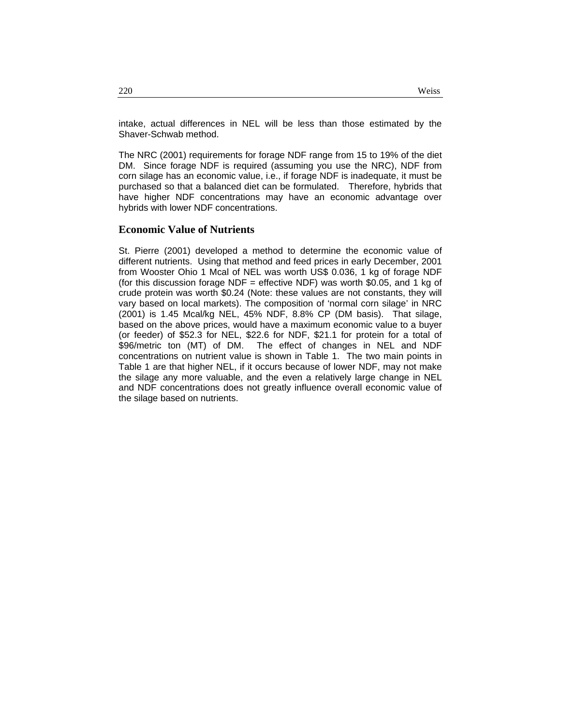intake, actual differences in NEL will be less than those estimated by the Shaver-Schwab method.

The NRC (2001) requirements for forage NDF range from 15 to 19% of the diet DM. Since forage NDF is required (assuming you use the NRC), NDF from corn silage has an economic value, i.e., if forage NDF is inadequate, it must be purchased so that a balanced diet can be formulated. Therefore, hybrids that have higher NDF concentrations may have an economic advantage over hybrids with lower NDF concentrations.

#### **Economic Value of Nutrients**

St. Pierre (2001) developed a method to determine the economic value of different nutrients. Using that method and feed prices in early December, 2001 from Wooster Ohio 1 Mcal of NEL was worth US\$ 0.036, 1 kg of forage NDF (for this discussion forage NDF = effective NDF) was worth \$0.05, and 1 kg of crude protein was worth \$0.24 (Note: these values are not constants, they will vary based on local markets). The composition of 'normal corn silage' in NRC (2001) is 1.45 Mcal/kg NEL, 45% NDF, 8.8% CP (DM basis). That silage, based on the above prices, would have a maximum economic value to a buyer (or feeder) of \$52.3 for NEL, \$22.6 for NDF, \$21.1 for protein for a total of \$96/metric ton (MT) of DM. The effect of changes in NEL and NDF concentrations on nutrient value is shown in Table 1. The two main points in Table 1 are that higher NEL, if it occurs because of lower NDF, may not make the silage any more valuable, and the even a relatively large change in NEL and NDF concentrations does not greatly influence overall economic value of the silage based on nutrients.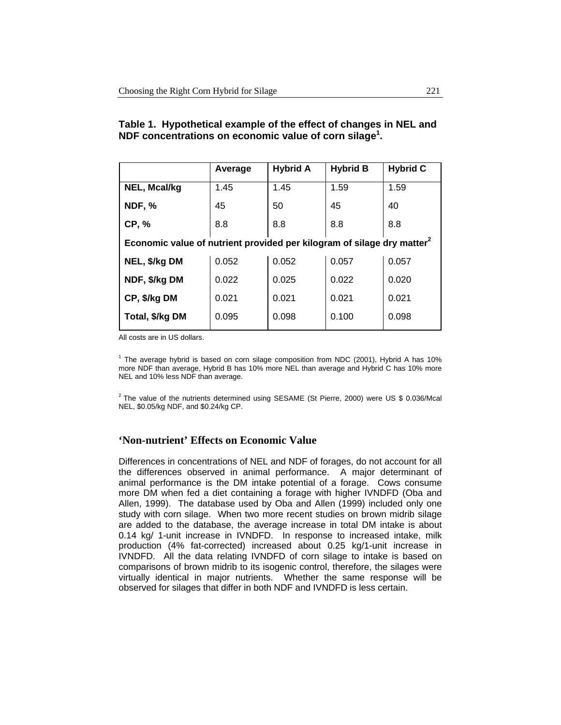| Table 1. Hypothetical example of the effect of changes in NEL and  |  |
|--------------------------------------------------------------------|--|
| NDF concentrations on economic value of corn silage <sup>1</sup> . |  |

|                                                                                    | Average | <b>Hybrid A</b> | <b>Hybrid B</b> | <b>Hybrid C</b> |  |  |
|------------------------------------------------------------------------------------|---------|-----------------|-----------------|-----------------|--|--|
| <b>NEL, Mcal/kg</b>                                                                | 1.45    | 1.45            | 1.59            | 1.59            |  |  |
| <b>NDF, %</b>                                                                      | 45      | 50              | 45              | 40              |  |  |
| <b>CP, %</b>                                                                       | 8.8     | 8.8             | 8.8             | 8.8             |  |  |
| Economic value of nutrient provided per kilogram of silage dry matter <sup>2</sup> |         |                 |                 |                 |  |  |
| NEL, \$/kg DM                                                                      | 0.052   | 0.052           | 0.057           | 0.057           |  |  |
| NDF, \$/kg DM                                                                      | 0.022   | 0.025           | 0.022           | 0.020           |  |  |
| CP, \$/kg DM                                                                       | 0.021   | 0.021           | 0.021           | 0.021           |  |  |
| Total, \$/kg DM                                                                    | 0.095   | 0.098           | 0.100           | 0.098           |  |  |
|                                                                                    |         |                 |                 |                 |  |  |

All costs are in US dollars.

<sup>1</sup> The average hybrid is based on corn silage composition from NDC (2001), Hybrid A has 10% more NDF than average, Hybrid B has 10% more NEL than average and Hybrid C has 10% more NEL and 10% less NDF than average.

 $2$  The value of the nutrients determined using SESAME (St Pierre, 2000) were US \$ 0.036/Mcal NEL, \$0.05/kg NDF, and \$0.24/kg CP.

### **'Non-nutrient' Effects on Economic Value**

Differences in concentrations of NEL and NDF of forages, do not account for all the differences observed in animal performance. A major determinant of animal performance is the DM intake potential of a forage. Cows consume more DM when fed a diet containing a forage with higher IVNDFD (Oba and Allen, 1999). The database used by Oba and Allen (1999) included only one study with corn silage. When two more recent studies on brown midrib silage are added to the database, the average increase in total DM intake is about 0.14 kg/ 1-unit increase in IVNDFD. In response to increased intake, milk production (4% fat-corrected) increased about 0.25 kg/1-unit increase in IVNDFD. All the data relating IVNDFD of corn silage to intake is based on comparisons of brown midrib to its isogenic control, therefore, the silages were virtually identical in major nutrients. Whether the same response will be observed for silages that differ in both NDF and IVNDFD is less certain.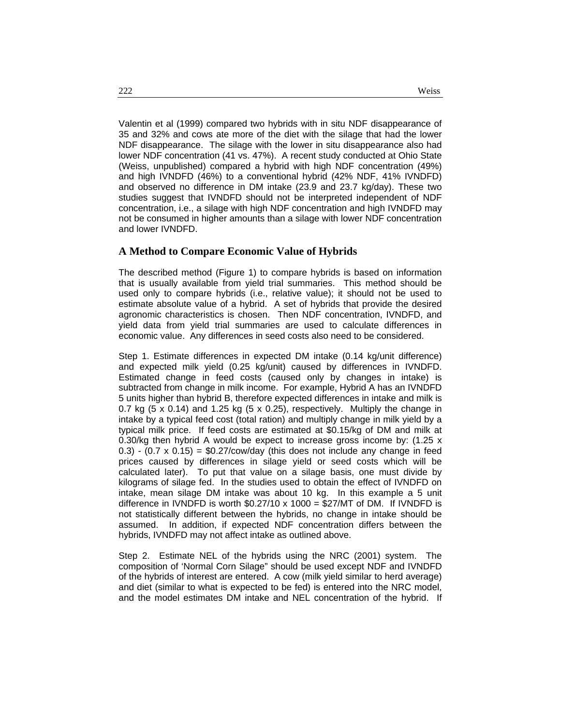Valentin et al (1999) compared two hybrids with in situ NDF disappearance of 35 and 32% and cows ate more of the diet with the silage that had the lower NDF disappearance. The silage with the lower in situ disappearance also had lower NDF concentration (41 vs. 47%). A recent study conducted at Ohio State (Weiss, unpublished) compared a hybrid with high NDF concentration (49%) and high IVNDFD (46%) to a conventional hybrid (42% NDF, 41% IVNDFD) and observed no difference in DM intake (23.9 and 23.7 kg/day). These two studies suggest that IVNDFD should not be interpreted independent of NDF concentration, i.e., a silage with high NDF concentration and high IVNDFD may not be consumed in higher amounts than a silage with lower NDF concentration and lower IVNDFD.

#### **A Method to Compare Economic Value of Hybrids**

The described method (Figure 1) to compare hybrids is based on information that is usually available from yield trial summaries. This method should be used only to compare hybrids (i.e., relative value); it should not be used to estimate absolute value of a hybrid. A set of hybrids that provide the desired agronomic characteristics is chosen. Then NDF concentration, IVNDFD, and yield data from yield trial summaries are used to calculate differences in economic value. Any differences in seed costs also need to be considered.

Step 1. Estimate differences in expected DM intake (0.14 kg/unit difference) and expected milk yield (0.25 kg/unit) caused by differences in IVNDFD. Estimated change in feed costs (caused only by changes in intake) is subtracted from change in milk income. For example, Hybrid A has an IVNDFD 5 units higher than hybrid B, therefore expected differences in intake and milk is 0.7 kg  $(5 \times 0.14)$  and 1.25 kg  $(5 \times 0.25)$ , respectively. Multiply the change in intake by a typical feed cost (total ration) and multiply change in milk yield by a typical milk price. If feed costs are estimated at \$0.15/kg of DM and milk at 0.30/kg then hybrid A would be expect to increase gross income by:  $(1.25 \times$  $0.3$ ) - (0.7 x 0.15) = \$0.27/cow/day (this does not include any change in feed prices caused by differences in silage yield or seed costs which will be calculated later). To put that value on a silage basis, one must divide by kilograms of silage fed. In the studies used to obtain the effect of IVNDFD on intake, mean silage DM intake was about 10 kg. In this example a 5 unit difference in IVNDFD is worth  $$0.27/10 \times 1000 = $27/MT$  of DM. If IVNDFD is not statistically different between the hybrids, no change in intake should be assumed. In addition, if expected NDF concentration differs between the hybrids, IVNDFD may not affect intake as outlined above.

Step 2. Estimate NEL of the hybrids using the NRC (2001) system. The composition of 'Normal Corn Silage" should be used except NDF and IVNDFD of the hybrids of interest are entered. A cow (milk yield similar to herd average) and diet (similar to what is expected to be fed) is entered into the NRC model, and the model estimates DM intake and NEL concentration of the hybrid. If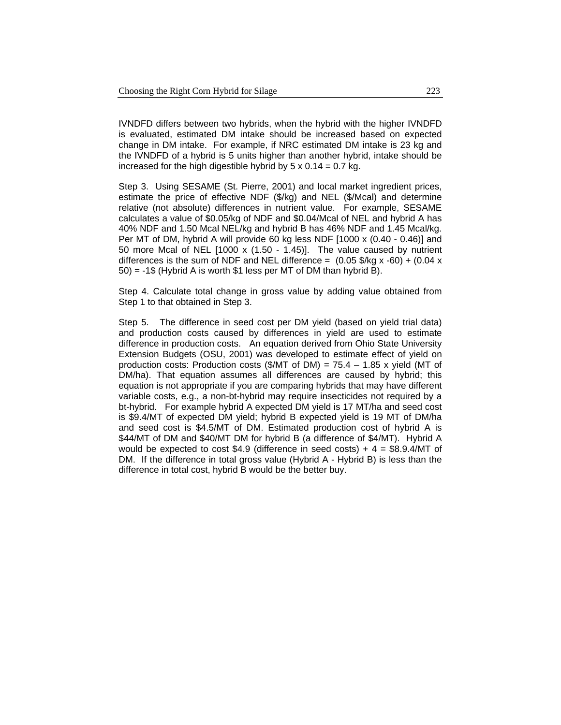IVNDFD differs between two hybrids, when the hybrid with the higher IVNDFD is evaluated, estimated DM intake should be increased based on expected change in DM intake. For example, if NRC estimated DM intake is 23 kg and the IVNDFD of a hybrid is 5 units higher than another hybrid, intake should be increased for the high digestible hybrid by  $5 \times 0.14 = 0.7$  kg.

Step 3. Using SESAME (St. Pierre, 2001) and local market ingredient prices, estimate the price of effective NDF (\$/kg) and NEL (\$/Mcal) and determine relative (not absolute) differences in nutrient value. For example, SESAME calculates a value of \$0.05/kg of NDF and \$0.04/Mcal of NEL and hybrid A has 40% NDF and 1.50 Mcal NEL/kg and hybrid B has 46% NDF and 1.45 Mcal/kg. Per MT of DM, hybrid A will provide 60 kg less NDF [1000 x (0.40 - 0.46)] and 50 more Mcal of NEL [1000 x (1.50 - 1.45)]. The value caused by nutrient differences is the sum of NDF and NEL difference =  $(0.05 \frac{1}{9}$ /kg x -60) +  $(0.04 \frac{1}{9}$  $50$ ) = -1\$ (Hybrid A is worth \$1 less per MT of DM than hybrid B).

Step 4. Calculate total change in gross value by adding value obtained from Step 1 to that obtained in Step 3.

Step 5. The difference in seed cost per DM yield (based on yield trial data) and production costs caused by differences in yield are used to estimate difference in production costs. An equation derived from Ohio State University Extension Budgets (OSU, 2001) was developed to estimate effect of yield on production costs: Production costs  $(\text{\textsterling} / \text{MT})$  of DM) = 75.4 – 1.85 x vield (MT of DM/ha). That equation assumes all differences are caused by hybrid; this equation is not appropriate if you are comparing hybrids that may have different variable costs, e.g., a non-bt-hybrid may require insecticides not required by a bt-hybrid. For example hybrid A expected DM yield is 17 MT/ha and seed cost is \$9.4/MT of expected DM yield; hybrid B expected yield is 19 MT of DM/ha and seed cost is \$4.5/MT of DM. Estimated production cost of hybrid A is \$44/MT of DM and \$40/MT DM for hybrid B (a difference of \$4/MT). Hybrid A would be expected to cost \$4.9 (difference in seed costs) +  $4 = $8.9.4/MT$  of DM. If the difference in total gross value (Hybrid A - Hybrid B) is less than the difference in total cost, hybrid B would be the better buy.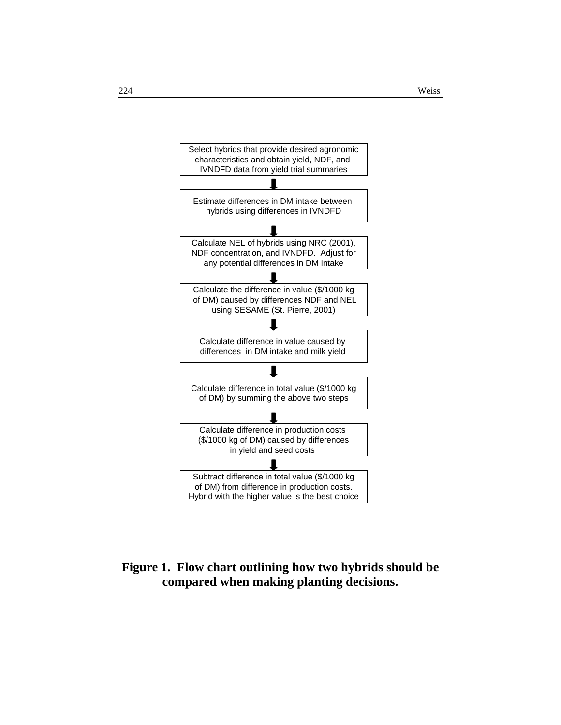

# **Figure 1. Flow chart outlining how two hybrids should be compared when making planting decisions.**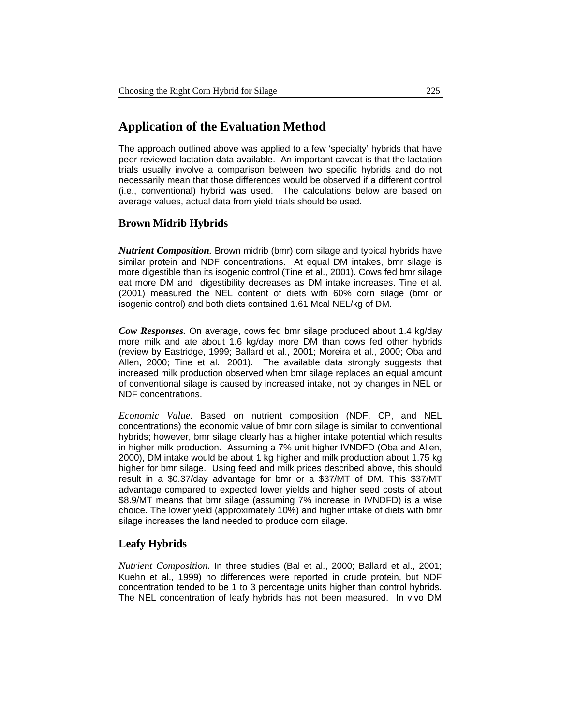# **Application of the Evaluation Method**

The approach outlined above was applied to a few 'specialty' hybrids that have peer-reviewed lactation data available. An important caveat is that the lactation trials usually involve a comparison between two specific hybrids and do not necessarily mean that those differences would be observed if a different control (i.e., conventional) hybrid was used. The calculations below are based on average values, actual data from yield trials should be used.

### **Brown Midrib Hybrids**

*Nutrient Composition.* Brown midrib (bmr) corn silage and typical hybrids have similar protein and NDF concentrations. At equal DM intakes, bmr silage is more digestible than its isogenic control (Tine et al., 2001). Cows fed bmr silage eat more DM and digestibility decreases as DM intake increases. Tine et al. (2001) measured the NEL content of diets with 60% corn silage (bmr or isogenic control) and both diets contained 1.61 Mcal NEL/kg of DM.

*Cow Responses.* On average, cows fed bmr silage produced about 1.4 kg/day more milk and ate about 1.6 kg/day more DM than cows fed other hybrids (review by Eastridge, 1999; Ballard et al., 2001; Moreira et al., 2000; Oba and Allen, 2000; Tine et al., 2001). The available data strongly suggests that increased milk production observed when bmr silage replaces an equal amount of conventional silage is caused by increased intake, not by changes in NEL or NDF concentrations.

*Economic Value.* Based on nutrient composition (NDF, CP, and NEL concentrations) the economic value of bmr corn silage is similar to conventional hybrids; however, bmr silage clearly has a higher intake potential which results in higher milk production. Assuming a 7% unit higher IVNDFD (Oba and Allen, 2000), DM intake would be about 1 kg higher and milk production about 1.75 kg higher for bmr silage. Using feed and milk prices described above, this should result in a \$0.37/day advantage for bmr or a \$37/MT of DM. This \$37/MT advantage compared to expected lower yields and higher seed costs of about \$8.9/MT means that bmr silage (assuming 7% increase in IVNDFD) is a wise choice. The lower yield (approximately 10%) and higher intake of diets with bmr silage increases the land needed to produce corn silage.

### **Leafy Hybrids**

*Nutrient Composition.* In three studies (Bal et al., 2000; Ballard et al., 2001; Kuehn et al., 1999) no differences were reported in crude protein, but NDF concentration tended to be 1 to 3 percentage units higher than control hybrids. The NEL concentration of leafy hybrids has not been measured. In vivo DM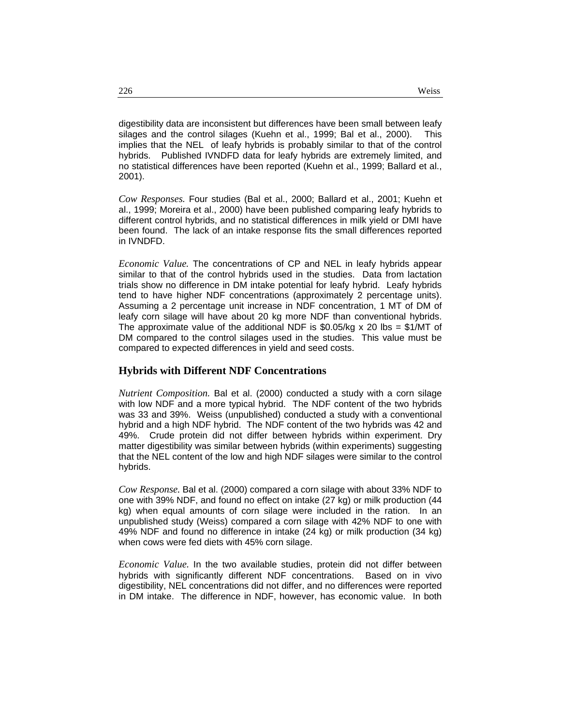digestibility data are inconsistent but differences have been small between leafy silages and the control silages (Kuehn et al., 1999; Bal et al., 2000). This implies that the NEL of leafy hybrids is probably similar to that of the control hybrids. Published IVNDFD data for leafy hybrids are extremely limited, and no statistical differences have been reported (Kuehn et al., 1999; Ballard et al., 2001).

*Cow Responses.* Four studies (Bal et al., 2000; Ballard et al., 2001; Kuehn et al., 1999; Moreira et al., 2000) have been published comparing leafy hybrids to different control hybrids, and no statistical differences in milk yield or DMI have been found. The lack of an intake response fits the small differences reported in IVNDFD.

*Economic Value.* The concentrations of CP and NEL in leafy hybrids appear similar to that of the control hybrids used in the studies. Data from lactation trials show no difference in DM intake potential for leafy hybrid. Leafy hybrids tend to have higher NDF concentrations (approximately 2 percentage units). Assuming a 2 percentage unit increase in NDF concentration, 1 MT of DM of leafy corn silage will have about 20 kg more NDF than conventional hybrids. The approximate value of the additional NDF is  $$0.05/kg \times 20$  lbs =  $$1/MT$  of DM compared to the control silages used in the studies. This value must be compared to expected differences in yield and seed costs.

### **Hybrids with Different NDF Concentrations**

*Nutrient Composition.* Bal et al. (2000) conducted a study with a corn silage with low NDF and a more typical hybrid. The NDF content of the two hybrids was 33 and 39%. Weiss (unpublished) conducted a study with a conventional hybrid and a high NDF hybrid. The NDF content of the two hybrids was 42 and 49%. Crude protein did not differ between hybrids within experiment. Dry matter digestibility was similar between hybrids (within experiments) suggesting that the NEL content of the low and high NDF silages were similar to the control hybrids.

*Cow Response.* Bal et al. (2000) compared a corn silage with about 33% NDF to one with 39% NDF, and found no effect on intake (27 kg) or milk production (44 kg) when equal amounts of corn silage were included in the ration. In an unpublished study (Weiss) compared a corn silage with 42% NDF to one with 49% NDF and found no difference in intake (24 kg) or milk production (34 kg) when cows were fed diets with 45% corn silage.

*Economic Value.* In the two available studies, protein did not differ between hybrids with significantly different NDF concentrations. Based on in vivo digestibility, NEL concentrations did not differ, and no differences were reported in DM intake. The difference in NDF, however, has economic value. In both